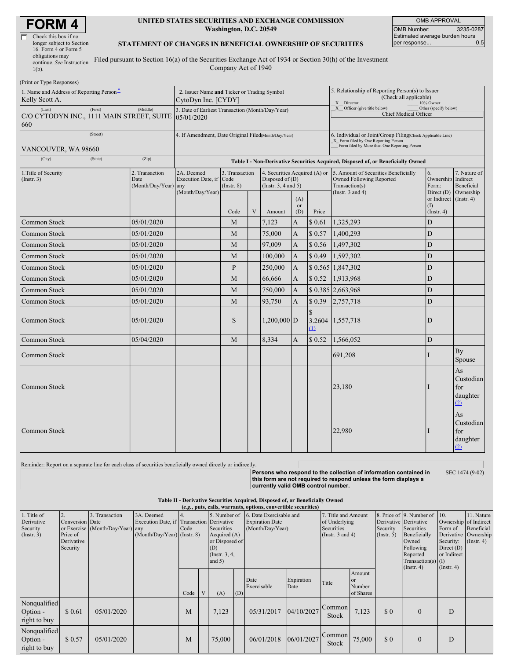| Check this box if no      |
|---------------------------|
| longer subject to Section |
| 16. Form 4 or Form 5      |
| obligations may           |
| continue. See Instruction |
| $1(b)$ .                  |

### **UNITED STATES SECURITIES AND EXCHANGE COMMISSION Washington, D.C. 20549**

OMB APPROVAL OMB Number: 3235-0287 Estimated average burden hours<br>per response... 0.5 per response...

### **STATEMENT OF CHANGES IN BENEFICIAL OWNERSHIP OF SECURITIES**

Filed pursuant to Section 16(a) of the Securities Exchange Act of 1934 or Section 30(h) of the Investment Company Act of 1940

| (Print or Type Responses)                                                             |                                                                    |            |                                  |                                           |   |                                                                                                                                                    |                                                                                  |                      |                                                                                    |                                                                   |                                           |
|---------------------------------------------------------------------------------------|--------------------------------------------------------------------|------------|----------------------------------|-------------------------------------------|---|----------------------------------------------------------------------------------------------------------------------------------------------------|----------------------------------------------------------------------------------|----------------------|------------------------------------------------------------------------------------|-------------------------------------------------------------------|-------------------------------------------|
| 1. Name and Address of Reporting Person <sup>*</sup><br>Kelly Scott A.                | 2. Issuer Name and Ticker or Trading Symbol<br>CytoDyn Inc. [CYDY] |            |                                  |                                           |   | 5. Relationship of Reporting Person(s) to Issuer<br>(Check all applicable)<br>X Director<br>10% Owner                                              |                                                                                  |                      |                                                                                    |                                                                   |                                           |
| (Last)<br>C/O CYTODYN INC., 1111 MAIN STREET, SUITE 05/01/2020<br>660                 | 3. Date of Earliest Transaction (Month/Day/Year)                   |            |                                  |                                           |   | $X$ Officer (give title below)<br>Other (specify below)<br>Chief Medical Officer                                                                   |                                                                                  |                      |                                                                                    |                                                                   |                                           |
| VANCOUVER, WA 98660                                                                   | 4. If Amendment, Date Original Filed(Month/Day/Year)               |            |                                  |                                           |   | 6. Individual or Joint/Group Filing(Check Applicable Line)<br>X Form filed by One Reporting Person<br>Form filed by More than One Reporting Person |                                                                                  |                      |                                                                                    |                                                                   |                                           |
| (City)                                                                                |                                                                    |            |                                  |                                           |   |                                                                                                                                                    | Table I - Non-Derivative Securities Acquired, Disposed of, or Beneficially Owned |                      |                                                                                    |                                                                   |                                           |
| 2. Transaction<br>1. Title of Security<br>Date<br>(Insert. 3)<br>(Month/Day/Year) any |                                                                    |            | 2A. Deemed<br>Execution Date, if | 3. Transaction<br>Code<br>$($ Instr. $8)$ |   | 4. Securities Acquired (A) or<br>Disposed of $(D)$<br>(Insert. 3, 4 and 5)                                                                         |                                                                                  |                      | 5. Amount of Securities Beneficially<br>Owned Following Reported<br>Transaction(s) | 6.<br>Ownership Indirect<br>Form:                                 | 7. Nature of<br>Beneficial                |
|                                                                                       |                                                                    |            | (Month/Day/Year)                 | Code                                      | V | Amount                                                                                                                                             | (A)<br>or<br>(D)                                                                 | Price                | (Instr. $3$ and $4$ )                                                              | Direct $(D)$<br>or Indirect (Instr. 4)<br>(I)<br>$($ Instr. 4 $)$ | Ownership                                 |
| Common Stock                                                                          | 05/01/2020                                                         |            |                                  | M                                         |   | 7,123                                                                                                                                              | A                                                                                | \$0.61               | 1,325,293                                                                          | D                                                                 |                                           |
| Common Stock                                                                          |                                                                    | 05/01/2020 |                                  | M                                         |   | 75,000                                                                                                                                             | A                                                                                | \$0.57               | 1,400,293                                                                          | $\mathbf D$                                                       |                                           |
| Common Stock                                                                          |                                                                    | 05/01/2020 |                                  | M                                         |   | 97,009                                                                                                                                             | $\mathbf{A}$                                                                     | \$0.56               | 1,497,302                                                                          | D                                                                 |                                           |
| Common Stock                                                                          |                                                                    | 05/01/2020 |                                  | M                                         |   | 100,000                                                                                                                                            | A                                                                                | \$0.49               | 1,597,302                                                                          | D                                                                 |                                           |
| Common Stock                                                                          |                                                                    | 05/01/2020 |                                  | P                                         |   | 250,000                                                                                                                                            | A                                                                                |                      | $$0.565 \,   \, 1.847, 302$                                                        | D                                                                 |                                           |
| Common Stock                                                                          |                                                                    | 05/01/2020 |                                  | M                                         |   | 66,666                                                                                                                                             | A                                                                                | \$0.52               | 1,913,968                                                                          | D                                                                 |                                           |
| Common Stock                                                                          |                                                                    | 05/01/2020 |                                  | M                                         |   | 750,000                                                                                                                                            | $\overline{A}$                                                                   |                      | \$ 0.385 2,663,968                                                                 | D                                                                 |                                           |
| Common Stock                                                                          |                                                                    | 05/01/2020 |                                  | M                                         |   | 93,750                                                                                                                                             | A                                                                                | \$0.39               | 2,757,718                                                                          | D                                                                 |                                           |
| <b>Common Stock</b>                                                                   |                                                                    | 05/01/2020 |                                  | S                                         |   | 1,200,000 D                                                                                                                                        |                                                                                  | $\mathcal{S}$<br>(1) | 3.2604 1,557,718                                                                   | D                                                                 |                                           |
| Common Stock                                                                          |                                                                    | 05/04/2020 |                                  | M                                         |   | 8,334                                                                                                                                              | A                                                                                | \$0.52               | 1,566,052                                                                          | D                                                                 |                                           |
| Common Stock                                                                          |                                                                    |            |                                  |                                           |   |                                                                                                                                                    |                                                                                  |                      | 691,208                                                                            |                                                                   | By<br>Spouse                              |
| Common Stock                                                                          |                                                                    |            |                                  |                                           |   |                                                                                                                                                    |                                                                                  |                      | 23,180                                                                             |                                                                   | As<br>Custodian<br>for<br>daughter<br>(2) |
| Common Stock                                                                          |                                                                    |            |                                  |                                           |   |                                                                                                                                                    |                                                                                  |                      | 22,980                                                                             |                                                                   | As<br>Custodian<br>for<br>daughter<br>(2) |

Reminder: Report on a separate line for each class of securities beneficially owned directly or indirectly.

**Persons who respond to the collection of information contained in this form are not required to respond unless the form displays a currently valid OMB control number.** SEC 1474 (9-02)

### **Table II - Derivative Securities Acquired, Disposed of, or Beneficially Owned (***e.g.***, puts, calls, warrants, options, convertible securities)**

| 1. Title of<br>Derivative<br>Security<br>(Insert. 3) | Conversion Date<br>Price of<br>Derivative<br>Security | 3. Transaction<br>or Exercise (Month/Day/Year) any | 3A. Deemed<br>Execution Date, if Transaction Derivative<br>(Month/Day/Year) (Instr. 8) | Code |                | 5. Number of<br>Securities<br>Acquired $(A)$<br>or Disposed of<br>(D)<br>(Instr. $3, 4,$<br>and $5)$ |     | 6. Date Exercisable and<br><b>Expiration Date</b><br>(Month/Day/Year) |                    | 7. Title and Amount<br>of Underlying<br>Securities<br>(Instr. $3$ and $4$ ) |                                                | Security<br>$($ Instr. 5 $)$ | 8. Price of 9. Number of<br>Derivative Derivative<br>Securities<br>Beneficially<br>Owned<br>Following<br>Reported<br>$Transaction(s)$ (I)<br>$($ Instr. 4 $)$ | 10.<br>Ownership of Indirect<br>Form of<br>Security:<br>Direct $(D)$<br>or Indirect<br>$($ Instr. 4 $)$ | 11. Nature<br>Beneficial<br>Derivative Ownership<br>$($ Instr. 4 $)$ |
|------------------------------------------------------|-------------------------------------------------------|----------------------------------------------------|----------------------------------------------------------------------------------------|------|----------------|------------------------------------------------------------------------------------------------------|-----|-----------------------------------------------------------------------|--------------------|-----------------------------------------------------------------------------|------------------------------------------------|------------------------------|---------------------------------------------------------------------------------------------------------------------------------------------------------------|---------------------------------------------------------------------------------------------------------|----------------------------------------------------------------------|
|                                                      |                                                       |                                                    |                                                                                        | Code | $\overline{V}$ | (A)                                                                                                  | (D) | Date<br>Exercisable                                                   | Expiration<br>Date | Title                                                                       | Amount<br><sub>or</sub><br>Number<br>of Shares |                              |                                                                                                                                                               |                                                                                                         |                                                                      |
| Nonqualified<br>Option -<br>right to buy             | \$0.61                                                | 05/01/2020                                         |                                                                                        | M    |                | 7,123                                                                                                |     | 05/31/2017                                                            | 04/10/2027         | Common<br><b>Stock</b>                                                      | 7,123                                          | \$0                          | $\Omega$                                                                                                                                                      | D                                                                                                       |                                                                      |
| Nonqualified<br>Option -<br>right to buy             | \$0.57                                                | 05/01/2020                                         |                                                                                        | M    |                | 75,000                                                                                               |     | 06/01/2018                                                            | 06/01/2027         | Common<br><b>Stock</b>                                                      | 75,000                                         | \$0                          |                                                                                                                                                               | D                                                                                                       |                                                                      |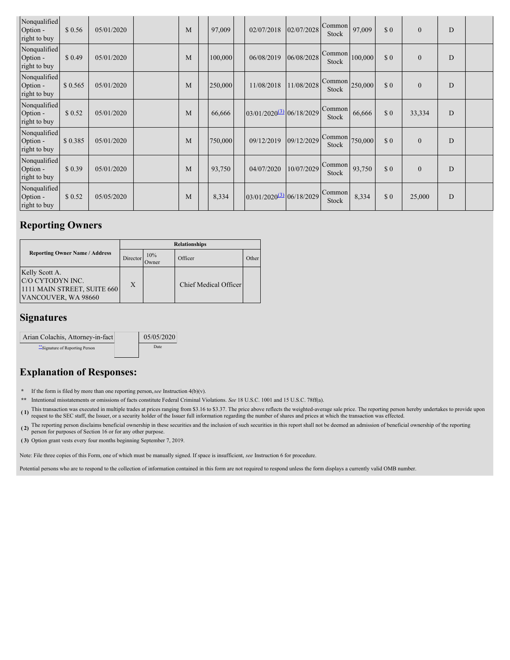| Nonqualified<br>Option -<br>right to buy | \$0.56  | 05/01/2020 | M | 97,009  | 02/07/2018                           | 02/07/2028 | Common<br>Stock | 97,009  | \$0 | $\mathbf{0}$ | D           |  |
|------------------------------------------|---------|------------|---|---------|--------------------------------------|------------|-----------------|---------|-----|--------------|-------------|--|
| Nonqualified<br>Option -<br>right to buy | \$0.49  | 05/01/2020 | M | 100,000 | 06/08/2019                           | 06/08/2028 | Common<br>Stock | 100,000 | \$0 | $\mathbf{0}$ | $\mathbf D$ |  |
| Nonqualified<br>Option -<br>right to buy | \$0.565 | 05/01/2020 | M | 250,000 | 11/08/2018                           | 11/08/2028 | Common<br>Stock | 250,000 | \$0 | $\mathbf{0}$ | D           |  |
| Nonqualified<br>Option -<br>right to buy | \$0.52  | 05/01/2020 | M | 66,666  | 03/01/2020 <sup>(3)</sup> 06/18/2029 |            | Common<br>Stock | 66,666  | \$0 | 33,334       | D           |  |
| Nonqualified<br>Option -<br>right to buy | \$0.385 | 05/01/2020 | M | 750,000 | 09/12/2019                           | 09/12/2029 | Common<br>Stock | 750,000 | \$0 | $\mathbf{0}$ | D           |  |
| Nonqualified<br>Option -<br>right to buy | \$0.39  | 05/01/2020 | M | 93,750  | 04/07/2020                           | 10/07/2029 | Common<br>Stock | 93,750  | \$0 | $\mathbf{0}$ | D           |  |
| Nonqualified<br>Option -<br>right to buy | \$0.52  | 05/05/2020 | M | 8,334   | 03/01/2020 <sup>(3)</sup> 06/18/2029 |            | Common<br>Stock | 8,334   | \$0 | 25,000       | $\mathbf D$ |  |

# **Reporting Owners**

|                                                                                          |          |              | <b>Relationships</b>  |       |  |  |  |  |  |
|------------------------------------------------------------------------------------------|----------|--------------|-----------------------|-------|--|--|--|--|--|
| <b>Reporting Owner Name / Address</b>                                                    | Director | 10%<br>Owner | Officer               | Other |  |  |  |  |  |
| Kelly Scott A.<br>C/O CYTODYN INC.<br>1111 MAIN STREET, SUITE 660<br>VANCOUVER, WA 98660 | X        |              | Chief Medical Officer |       |  |  |  |  |  |

## **Signatures**

| Arian Colachis, Attorney-in-fact | 05/05/2020 |
|----------------------------------|------------|
| Signature of Reporting Person    | Date       |

# **Explanation of Responses:**

**\*** If the form is filed by more than one reporting person,*see* Instruction 4(b)(v).

- **\*\*** Intentional misstatements or omissions of facts constitute Federal Criminal Violations. *See* 18 U.S.C. 1001 and 15 U.S.C. 78ff(a).
- (1) This transaction was executed in multiple trades at prices ranging from \$3.16 to \$3.37. The price above reflects the weighted-average sale price. The reporting person hereby undertakes to provide upon request to the SE
- (2) The reporting person disclaims beneficial ownership in these securities and the inclusion of such securities in this report shall not be deemed an admission of beneficial ownership of the reporting person for purposes

**( 3)** Option grant vests every four months beginning September 7, 2019.

Note: File three copies of this Form, one of which must be manually signed. If space is insufficient, *see* Instruction 6 for procedure.

Potential persons who are to respond to the collection of information contained in this form are not required to respond unless the form displays a currently valid OMB number.